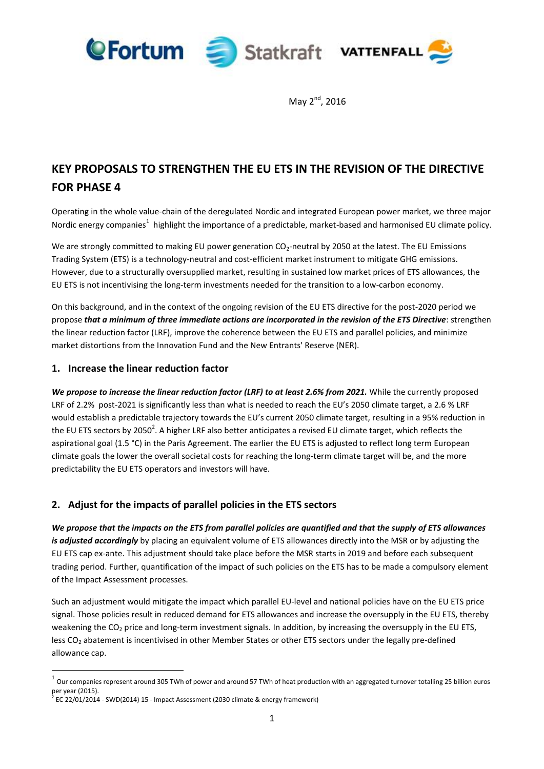

May  $2^{nd}$ , 2016

# **KEY PROPOSALS TO STRENGTHEN THE EU ETS IN THE REVISION OF THE DIRECTIVE FOR PHASE 4**

Operating in the whole value-chain of the deregulated Nordic and integrated European power market, we three major Nordic energy companies<sup>1</sup> highlight the importance of a predictable, market-based and harmonised EU climate policy.

We are strongly committed to making EU power generation CO<sub>2</sub>-neutral by 2050 at the latest. The EU Emissions Trading System (ETS) is a technology-neutral and cost-efficient market instrument to mitigate GHG emissions. However, due to a structurally oversupplied market, resulting in sustained low market prices of ETS allowances, the EU ETS is not incentivising the long-term investments needed for the transition to a low-carbon economy.

On this background, and in the context of the ongoing revision of the EU ETS directive for the post-2020 period we propose *that a minimum of three immediate actions are incorporated in the revision of the ETS Directive*: strengthen the linear reduction factor (LRF), improve the coherence between the EU ETS and parallel policies, and minimize market distortions from the Innovation Fund and the New Entrants' Reserve (NER).

### **1. Increase the linear reduction factor**

*We propose to increase the linear reduction factor (LRF) to at least 2.6% from 2021.* While the currently proposed LRF of 2.2% post-2021 is significantly less than what is needed to reach the EU's 2050 climate target, a 2.6 % LRF would establish a predictable trajectory towards the EU's current 2050 climate target, resulting in a 95% reduction in the EU ETS sectors by 2050<sup>2</sup>. A higher LRF also better anticipates a revised EU climate target, which reflects the aspirational goal (1.5 °C) in the Paris Agreement. The earlier the EU ETS is adjusted to reflect long term European climate goals the lower the overall societal costs for reaching the long-term climate target will be, and the more predictability the EU ETS operators and investors will have.

## **2. Adjust for the impacts of parallel policies in the ETS sectors**

*We propose that the impacts on the ETS from parallel policies are quantified and that the supply of ETS allowances is adjusted accordingly* by placing an equivalent volume of ETS allowances directly into the MSR or by adjusting the EU ETS cap ex-ante. This adjustment should take place before the MSR starts in 2019 and before each subsequent trading period. Further, quantification of the impact of such policies on the ETS has to be made a compulsory element of the Impact Assessment processes.

Such an adjustment would mitigate the impact which parallel EU-level and national policies have on the EU ETS price signal. Those policies result in reduced demand for ETS allowances and increase the oversupply in the EU ETS, thereby weakening the  $CO<sub>2</sub>$  price and long-term investment signals. In addition, by increasing the oversupply in the EU ETS, less CO<sub>2</sub> abatement is incentivised in other Member States or other ETS sectors under the legally pre-defined allowance cap.

**.** 

<sup>1</sup> Our companies represent around 305 TWh of power and around 57 TWh of heat production with an aggregated turnover totalling 25 billion euros per year (2015).<br><sup>2</sup> EC 22/01/2014

EC 22/01/2014 - SWD(2014) 15 - Impact Assessment (2030 climate & energy framework)